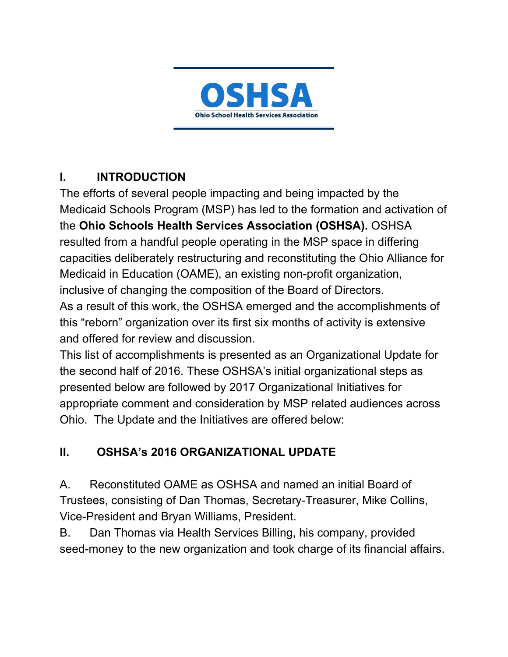

## **I. INTRODUCTION**

The efforts of several people impacting and being impacted by the Medicaid Schools Program (MSP) has led to the formation and activation of the **Ohio Schools Health Services Association (OSHSA).** OSHSA resulted from a handful people operating in the MSP space in differing capacities deliberately restructuring and reconstituting the Ohio Alliance for Medicaid in Education (OAME), an existing non-profit organization, inclusive of changing the composition of the Board of Directors. As a result of this work, the OSHSA emerged and the accomplishments of this "reborn" organization over its first six months of activity is extensive and offered for review and discussion.

This list of accomplishments is presented as an Organizational Update for the second half of 2016. These OSHSA's initial organizational steps as presented below are followed by 2017 Organizational Initiatives for appropriate comment and consideration by MSP related audiences across Ohio. The Update and the Initiatives are offered below:

## **II. OSHSA's 2016 ORGANIZATIONAL UPDATE**

A. Reconstituted OAME as OSHSA and named an initial Board of Trustees, consisting of Dan Thomas, Secretary-Treasurer, Mike Collins, Vice-President and Bryan Williams, President.

B. Dan Thomas via Health Services Billing, his company, provided seed-money to the new organization and took charge of its financial affairs.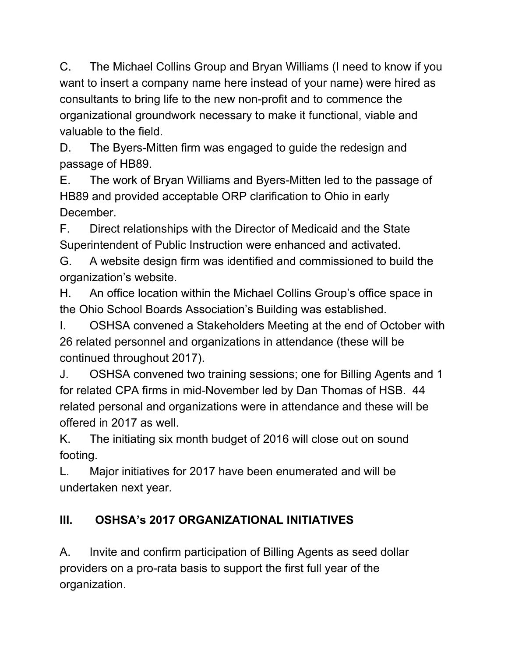C. The Michael Collins Group and Bryan Williams (I need to know if you want to insert a company name here instead of your name) were hired as consultants to bring life to the new non-profit and to commence the organizational groundwork necessary to make it functional, viable and valuable to the field.

D. The Byers-Mitten firm was engaged to guide the redesign and passage of HB89.

E. The work of Bryan Williams and Byers-Mitten led to the passage of HB89 and provided acceptable ORP clarification to Ohio in early December.

F. Direct relationships with the Director of Medicaid and the State Superintendent of Public Instruction were enhanced and activated.

G. A website design firm was identified and commissioned to build the organization's website.

H. An office location within the Michael Collins Group's office space in the Ohio School Boards Association's Building was established.

I. OSHSA convened a Stakeholders Meeting at the end of October with 26 related personnel and organizations in attendance (these will be continued throughout 2017).

J. OSHSA convened two training sessions; one for Billing Agents and 1 for related CPA firms in mid-November led by Dan Thomas of HSB. 44 related personal and organizations were in attendance and these will be offered in 2017 as well.

K. The initiating six month budget of 2016 will close out on sound footing.

L. Major initiatives for 2017 have been enumerated and will be undertaken next year.

## **III. OSHSA's 2017 ORGANIZATIONAL INITIATIVES**

A. Invite and confirm participation of Billing Agents as seed dollar providers on a pro-rata basis to support the first full year of the organization.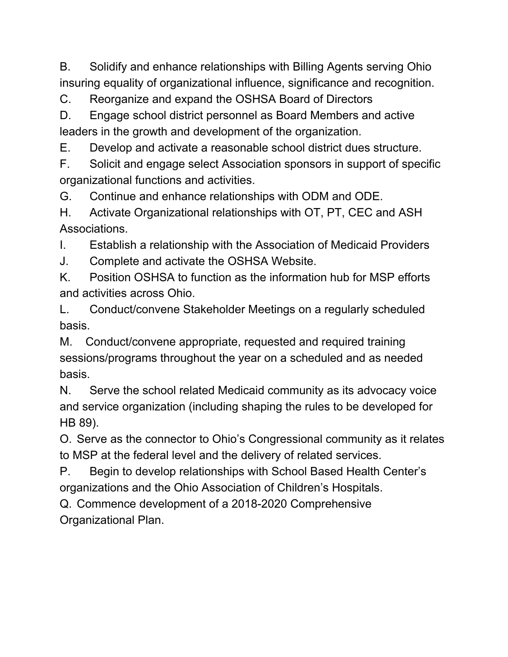B. Solidify and enhance relationships with Billing Agents serving Ohio insuring equality of organizational influence, significance and recognition.

C. Reorganize and expand the OSHSA Board of Directors

D. Engage school district personnel as Board Members and active leaders in the growth and development of the organization.

E. Develop and activate a reasonable school district dues structure.

F. Solicit and engage select Association sponsors in support of specific organizational functions and activities.

G. Continue and enhance relationships with ODM and ODE.

H. Activate Organizational relationships with OT, PT, CEC and ASH Associations.

I. Establish a relationship with the Association of Medicaid Providers

J. Complete and activate the OSHSA Website.

K. Position OSHSA to function as the information hub for MSP efforts and activities across Ohio.

L. Conduct/convene Stakeholder Meetings on a regularly scheduled basis.

M. Conduct/convene appropriate, requested and required training sessions/programs throughout the year on a scheduled and as needed basis.

N. Serve the school related Medicaid community as its advocacy voice and service organization (including shaping the rules to be developed for HB 89).

O. Serve as the connector to Ohio's Congressional community as it relates to MSP at the federal level and the delivery of related services.

P. Begin to develop relationships with School Based Health Center's organizations and the Ohio Association of Children's Hospitals.

Q. Commence development of a 2018-2020 Comprehensive Organizational Plan.